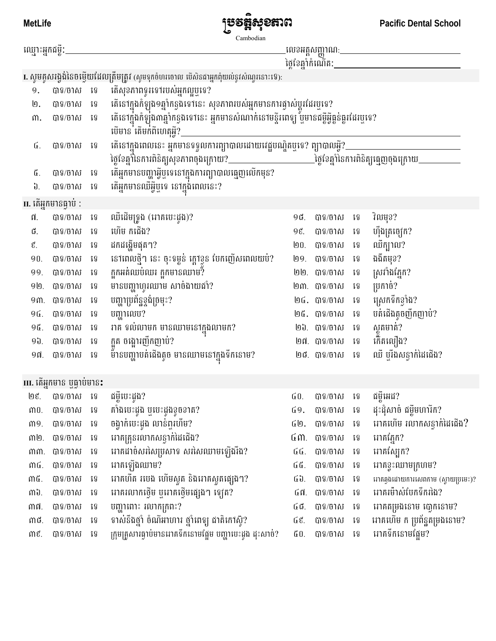**MetLife** 



**Pacific Dental School** 

| ឈ្មោះអ្នកជម្ពឺ:                                                                      |                                    |                             |                                                                                                                                                                    |     |                |      |                                    |  |  |  |  |  |
|--------------------------------------------------------------------------------------|------------------------------------|-----------------------------|--------------------------------------------------------------------------------------------------------------------------------------------------------------------|-----|----------------|------|------------------------------------|--|--|--|--|--|
|                                                                                      |                                    |                             |                                                                                                                                                                    |     |                |      |                                    |  |  |  |  |  |
| I. សូមគូសរង្វង់នៃចម្ងើយដែលត្រឹមត្រូវ (សូមទុកចំហរចោល បើសិនជាអ្នកពុំយល់នូវសំណូរនោះទេ): |                                    |                             |                                                                                                                                                                    |     |                |      |                                    |  |  |  |  |  |
| 9.                                                                                   | បាទ/ចាស ទេ                         |                             | តើសុខភាពទូរទៅរបស់អ្នកល្អឬទេ?                                                                                                                                       |     |                |      |                                    |  |  |  |  |  |
| ២.                                                                                   | បាទ/ចាស ទេ                         |                             | ៈតើនៅក្នុងកំឡុង១ឆ្នាំកន្លងទៅនេះ សុខភាពរបស់អ្នកមានការផ្ទាស់ប្តូរដែរឬទេ?<br>តើនៅក្នុងកំឡុង៣ឆ្នាំកន្លងទៅនេះ អ្នកមានសំណាក់នៅមន្ទីរពេទ្យ ឬមានជម្ងឺអ្វីធ្លន់ធ្លូរដែរឬទេ? |     |                |      |                                    |  |  |  |  |  |
| $m$ .                                                                                | បាទ/ចាស                            | ្រះ                         | បើមាន តែមក់ពីហេតុអ្វី?_                                                                                                                                            |     |                |      |                                    |  |  |  |  |  |
| ៤.                                                                                   | បាទ/ចាស                            | ទ្រ                         | គើនៅក្នុងពេលនេះ អ្នកមានទទួលការព្យាបាលដោយវេជ្ជបណ្ឌិតឬទេ? ព្យាបាលអ្វី?__                                                                                             |     |                |      |                                    |  |  |  |  |  |
| ៥.                                                                                   | បាទ/ចាស                            | ទេ                          |                                                                                                                                                                    |     |                |      |                                    |  |  |  |  |  |
| ່ປີ.                                                                                 | បាទ/ចាស                            | ទេ                          | តើអ្នកមានឈឺអ្វីឬទេ នៅក្នុង់ពេលនេះ?                                                                                                                                 |     |                |      |                                    |  |  |  |  |  |
| II. តើអ្នកមានធ្វាប់ :                                                                |                                    |                             |                                                                                                                                                                    |     |                |      |                                    |  |  |  |  |  |
| ${\mathfrak n}.$                                                                     | បាទ/ចាស                            | រទ                          | ឈឺដើមទ្រូង (អាគបេះដូង)?                                                                                                                                            | 90. | បាទ/ចាស        | ទេ   | វិលមុខ?                            |  |  |  |  |  |
| ៨.                                                                                   | បាទ/ចាស                            | ទ្រូ                        | ហើម កជើង?                                                                                                                                                          | 9g. | បាទ/ចាស        | ទ្រូ | ហ៊ីងត្រច្បើក?                      |  |  |  |  |  |
| $\mathfrak{E}.$                                                                      | បាទ/ចាស                            | ទេ                          | ដកដង្ហើមផុត។?                                                                                                                                                      | ២០. | បាទ/ចាស        | ទ្រូ | ឈឺក្បូ1ល?                          |  |  |  |  |  |
| 90.                                                                                  | បាទ/ចាស                            | រទ                          |                                                                                                                                                                    | ឭ໑. | បាទ/ចាស        | ទ្រ  | ងងឹតមុខ?                           |  |  |  |  |  |
| 99.                                                                                  | បាទ/ចាស                            | ទេ                          | នៅពេលថ្មី។ នេះ ចុះទម្ងន់ ក្ដៅខ្លួន បែកញើសពេលយប់?<br>ក្អួកអត់ឈប់ឈរ ក្អួកមានឈាម?                                                                                     |     | ២២. បាទ/ចាស    | ទេ   | ស្រវាំងភ្នែក?                      |  |  |  |  |  |
| 9回.                                                                                  | បាទ/ចាស                            | ទេ                          | មានបញ្ហាហ្លួរឈាម សាច់ងាយជាំ?                                                                                                                                       |     | ២៣. បាទ/ចាស    | ទ្រូ | ប្រកាច់?                           |  |  |  |  |  |
| 9ጠ.                                                                                  | បាទ/ចាស                            | ទេ                          | បញ្ហាប្រព័ន្ឋខ្ទង់ច្រមុះ?                                                                                                                                          |     | ២៤. បាទ/ចាស    | ទេ   | ស្រេកទឹកខ្ទាំង?                    |  |  |  |  |  |
| 9位.                                                                                  | បាទ/ចាស                            | រទ                          | បញ្ហាលេប?                                                                                                                                                          |     | ២៥. បាទ/ចាស    | ទេ   | បត់ជើងតូចញឹកញាប់?                  |  |  |  |  |  |
| 9位.                                                                                  | បាទ/ចាស                            | ្រូ                         | រាគ ទល់លាមក មានឈាមនៅក្នុងលាមក?                                                                                                                                     |     | ២៦. បាទ/ចាស    | ទេ   | ស្លុតមាត់?<br>«                    |  |  |  |  |  |
| <u>ዓክ</u>                                                                            | បាទ/ចាស                            | វេទ                         | ក្អួត ចង្អោរញឹកញាប់?                                                                                                                                               |     | ២៧. បាទ/ចាស    | ទេ   | កើតលឿង?                            |  |  |  |  |  |
| ១៧.                                                                                  | បាទ/ចាស                            | វេទ                         | ម៉័ានបញ្ហាបត់ជើងតូច មានឈាមនៅក្នុងទឹកនោម?                                                                                                                           |     | ២៨. បាទ/ចាស ទេ |      | ឈឺ ឬរឹងសន្ធាក់ដៃជើង?               |  |  |  |  |  |
|                                                                                      | III. តើអ្នកមាន ឬធ្លាប់មាន <b>:</b> |                             |                                                                                                                                                                    |     |                |      |                                    |  |  |  |  |  |
| ២៩.                                                                                  | បាទ/ចាស ទេ                         |                             | ជម្ងឺបេះដូង?                                                                                                                                                       | GO. | បាទ/ចាស ទេ     |      | ជម្ងឺអេដ?                          |  |  |  |  |  |
| $m0$ .                                                                               | បាទ/ចាស                            | រូទូ                        | គាំងបេះដូង ឫបេះដូងខូចខាត?                                                                                                                                          | ៤9. | បាទ/ចាស        | ទេ   | ដុះដុំសាច់ ជម្លឺមហារីក?            |  |  |  |  |  |
| M9.                                                                                  | បាទ/ចាស                            | $\mathfrak{z}\, \mathbb{S}$ | ចង្វាក់បេះដូង លាន់ពុរហឹម?                                                                                                                                          | ៤២. | បាទ/ចាស        | រូទូ | អាគហើម រលាកសន្ធាក់ដៃជើង?           |  |  |  |  |  |
| ៣២.                                                                                  | បាទ/ចាស                            | រូទូ                        | អាគគ្រូនរលាកសន្ធាក់ដៃជើង?                                                                                                                                          |     | បាទ/ចាស        | ទ្រូ | រោគភ្នែក?                          |  |  |  |  |  |
| MM.                                                                                  | បាទ/ចាស                            | រូទូ                        | អាគដាច់សរសៃប្រសាទ សរសៃឈាមឡើងរឹង?                                                                                                                                   | նն. | បាទ/ចាស        | រទ   | អាគស្បែក?                          |  |  |  |  |  |
| MG.                                                                                  | បាទ/ចាស                            | រូទូ                        | អោគឡើងឈាម?                                                                                                                                                         | ៤៥. | បាទ/ចាស        | រទ   | អោគខ្ទះឈាមក្រហម?                   |  |  |  |  |  |
| ៣៥.                                                                                  | បាទ/ចាស                            | ទ្រូ                        | អាគហឺត របេង ហើមស្ងួត និងអាគស្ងួតផ្សេង។?                                                                                                                            | ៤៦. | បាទ/ចាស        | រទ   | អាគឆ្មងដោយការសេពកាម (ស្វាយប្រមេះ)? |  |  |  |  |  |
| ៣៦.                                                                                  | បាទ/ចាស                            | រូទូ                        | អាគរលាកថ្មើម ឬអាគថ្មើមផ្សេង។ ឡេត?                                                                                                                                  | ៤៧. | បាទ/ចាស        | ទ្រូ | អាគរម៉ាស់បែកទឹករងៃ?                |  |  |  |  |  |
| ៣៧.                                                                                  | បាទ/ចាស                            | ទេ                          | បញ្ហាពោះ រលាកក្រពះ?                                                                                                                                                | GC. | បាទ/ចាស        | រទ   | អាគតម្រងនោម ចោ្វកនោម?              |  |  |  |  |  |
| MC.                                                                                  | បាទ/ចាស                            | ទេ                          | ទាស់នឹងថ្នាំ ចំណីអាហារ ថ្នាំពេទ្យ ជាតិកោស៊ូ?                                                                                                                       | ն&. | បាទ/ចាស        | ទ្រូ | អាគហើម ក ប្រព័ន្ធតម្រងនោម?         |  |  |  |  |  |
| ME.                                                                                  | បាទ/ចាស                            | រូទូ                        | ក្រុមគ្រូសារធ្វាប់មានរោគទឹកនោមផ្អែម បញ្ហាបេះដូង ដុះសាច់?                                                                                                           | ű0. | បាទ/ចាស        | រទ   | អាគទឹកនោមផ្អែម?                    |  |  |  |  |  |